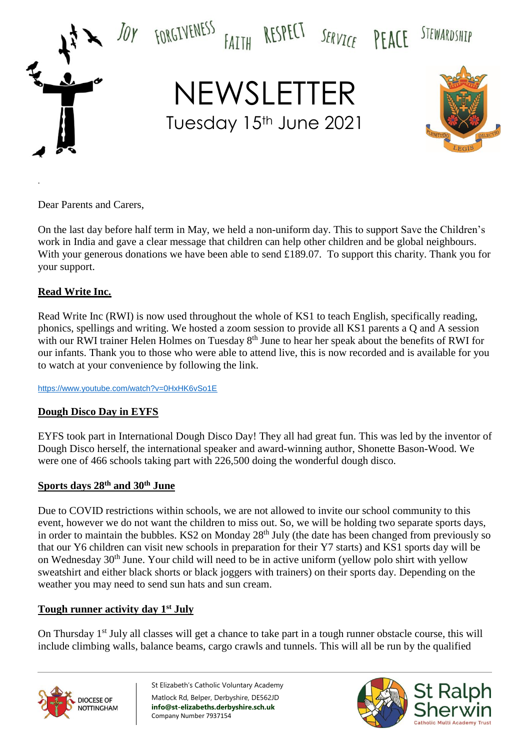

Dear Parents and Carers,

.

On the last day before half term in May, we held a non-uniform day. This to support Save the Children's work in India and gave a clear message that children can help other children and be global neighbours. With your generous donations we have been able to send £189.07. To support this charity. Thank you for your support.

### **Read Write Inc.**

Read Write Inc (RWI) is now used throughout the whole of KS1 to teach English, specifically reading, phonics, spellings and writing. We hosted a zoom session to provide all KS1 parents a Q and A session with our RWI trainer Helen Holmes on Tuesday 8<sup>th</sup> June to hear her speak about the benefits of RWI for our infants. Thank you to those who were able to attend live, this is now recorded and is available for you to watch at your convenience by following the link.

<https://www.youtube.com/watch?v=0HxHK6vSo1E>

### **Dough Disco Day in EYFS**

EYFS took part in International Dough Disco Day! They all had great fun. This was led by the inventor of Dough Disco herself, the international speaker and award-winning author, Shonette Bason-Wood. We were one of 466 schools taking part with 226,500 doing the wonderful dough disco.

#### **Sports days 28th and 30th June**

Due to COVID restrictions within schools, we are not allowed to invite our school community to this event, however we do not want the children to miss out. So, we will be holding two separate sports days, in order to maintain the bubbles. KS2 on Monday 28<sup>th</sup> July (the date has been changed from previously so that our Y6 children can visit new schools in preparation for their Y7 starts) and KS1 sports day will be on Wednesday 30th June. Your child will need to be in active uniform (yellow polo shirt with yellow sweatshirt and either black shorts or black joggers with trainers) on their sports day. Depending on the weather you may need to send sun hats and sun cream.

### **Tough runner activity day 1st July**

On Thursday 1<sup>st</sup> July all classes will get a chance to take part in a tough runner obstacle course, this will include climbing walls, balance beams, cargo crawls and tunnels. This will all be run by the qualified



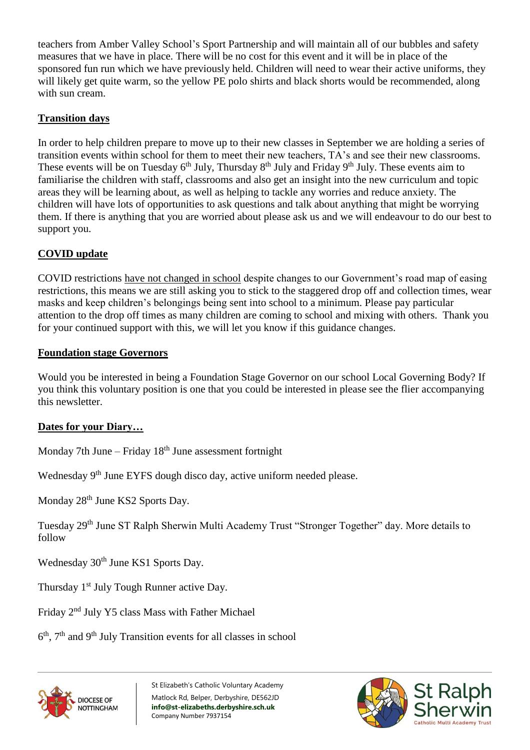teachers from Amber Valley School's Sport Partnership and will maintain all of our bubbles and safety measures that we have in place. There will be no cost for this event and it will be in place of the sponsored fun run which we have previously held. Children will need to wear their active uniforms, they will likely get quite warm, so the yellow PE polo shirts and black shorts would be recommended, along with sun cream.

## **Transition days**

In order to help children prepare to move up to their new classes in September we are holding a series of transition events within school for them to meet their new teachers, TA's and see their new classrooms. These events will be on Tuesday 6<sup>th</sup> July, Thursday 8<sup>th</sup> July and Friday 9<sup>th</sup> July. These events aim to familiarise the children with staff, classrooms and also get an insight into the new curriculum and topic areas they will be learning about, as well as helping to tackle any worries and reduce anxiety. The children will have lots of opportunities to ask questions and talk about anything that might be worrying them. If there is anything that you are worried about please ask us and we will endeavour to do our best to support you.

# **COVID update**

COVID restrictions have not changed in school despite changes to our Government's road map of easing restrictions, this means we are still asking you to stick to the staggered drop off and collection times, wear masks and keep children's belongings being sent into school to a minimum. Please pay particular attention to the drop off times as many children are coming to school and mixing with others. Thank you for your continued support with this, we will let you know if this guidance changes.

### **Foundation stage Governors**

Would you be interested in being a Foundation Stage Governor on our school Local Governing Body? If you think this voluntary position is one that you could be interested in please see the flier accompanying this newsletter.

# **Dates for your Diary…**

Monday 7th June – Friday  $18<sup>th</sup>$  June assessment fortnight

Wednesday 9<sup>th</sup> June EYFS dough disco day, active uniform needed please.

Monday 28<sup>th</sup> June KS2 Sports Day.

Tuesday 29th June ST Ralph Sherwin Multi Academy Trust "Stronger Together" day. More details to follow

Wednesday 30<sup>th</sup> June KS1 Sports Day.

Thursday 1<sup>st</sup> July Tough Runner active Day.

Friday 2nd July Y5 class Mass with Father Michael

6<sup>th</sup>, 7<sup>th</sup> and 9<sup>th</sup> July Transition events for all classes in school



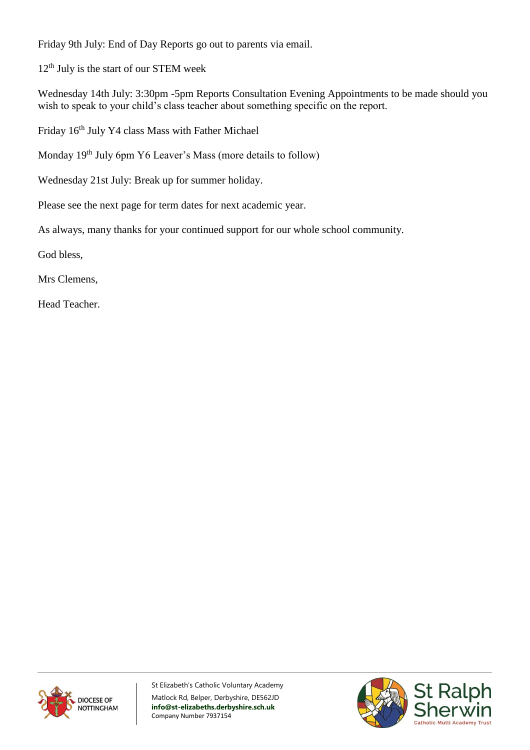Friday 9th July: End of Day Reports go out to parents via email.

12<sup>th</sup> July is the start of our STEM week

Wednesday 14th July: 3:30pm -5pm Reports Consultation Evening Appointments to be made should you wish to speak to your child's class teacher about something specific on the report.

Friday 16th July Y4 class Mass with Father Michael

Monday 19th July 6pm Y6 Leaver's Mass (more details to follow)

Wednesday 21st July: Break up for summer holiday.

Please see the next page for term dates for next academic year.

As always, many thanks for your continued support for our whole school community.

God bless,

Mrs Clemens,

Head Teacher.